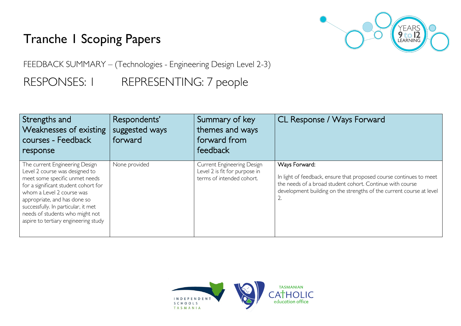## Tranche 1 Scoping Papers



FEEDBACK SUMMARY – (Technologies - Engineering Design Level 2-3)

RESPONSES: I REPRESENTING: 7 people

| Strengths and<br>Weaknesses of existing<br>courses - Feedback<br>response                                                                                                                                                                                                                                                 | Respondents'<br>suggested ways<br>forward | Summary of key<br>themes and ways<br>forward from<br>feedback                            | CL Response / Ways Forward                                                                                                                                                                                                      |
|---------------------------------------------------------------------------------------------------------------------------------------------------------------------------------------------------------------------------------------------------------------------------------------------------------------------------|-------------------------------------------|------------------------------------------------------------------------------------------|---------------------------------------------------------------------------------------------------------------------------------------------------------------------------------------------------------------------------------|
| The current Engineering Design<br>Level 2 course was designed to<br>meet some specific unmet needs<br>for a significant student cohort for<br>whom a Level 2 course was<br>appropriate, and has done so<br>successfully. In particular, it met<br>needs of students who might not<br>aspire to tertiary engineering study | None provided                             | Current Engineering Design<br>Level 2 is fit for purpose in<br>terms of intended cohort. | Ways Forward:<br>In light of feedback, ensure that proposed course continues to meet<br>the needs of a broad student cohort. Continue with course<br>development building on the strengths of the current course at level<br>Ż. |

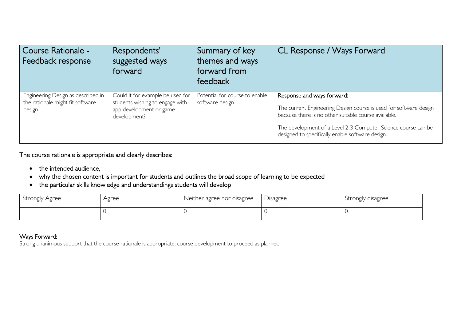| Course Rationale -<br>Feedback response                                          | Respondents'<br>suggested ways<br>forward                                                                      | Summary of key<br>themes and ways<br>forward from<br>feedback | <b>CL Response / Ways Forward</b>                                                                                                                                                                                                                                            |
|----------------------------------------------------------------------------------|----------------------------------------------------------------------------------------------------------------|---------------------------------------------------------------|------------------------------------------------------------------------------------------------------------------------------------------------------------------------------------------------------------------------------------------------------------------------------|
| Engineering Design as described in<br>the rationale might fit software<br>design | Could it for example be used for<br>students wishing to engage with<br>app development or game<br>development? | Potential for course to enable<br>software design.            | Response and ways forward:<br>The current Engineering Design course is used for software design<br>because there is no other suitable course available.<br>The development of a Level 2-3 Computer Science course can be<br>designed to specifically enable software design. |

The course rationale is appropriate and clearly describes:

- the intended audience,
- why the chosen content is important for students and outlines the broad scope of learning to be expected
- the particular skills knowledge and understandings students will develop

| Strongly Agree | Agree | Neither agree nor disagree | Disagree | Strongly disagree |
|----------------|-------|----------------------------|----------|-------------------|
|                |       |                            |          |                   |

## Ways Forward:

Strong unanimous support that the course rationale is appropriate, course development to proceed as planned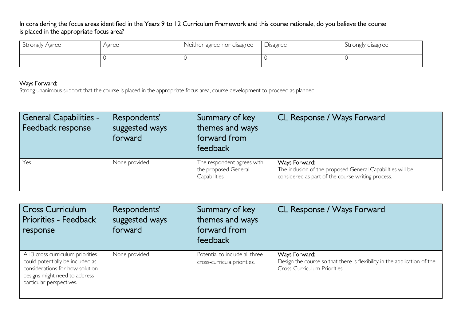In considering the focus areas identified in the Years 9 to 12 Curriculum Framework and this course rationale, do you believe the course is placed in the appropriate focus area?

| Strongly Agree | Agree | Neither agree nor disagree | Disagree | Strongly disagree |
|----------------|-------|----------------------------|----------|-------------------|
|                |       |                            |          |                   |

## Ways Forward:

Strong unanimous support that the course is placed in the appropriate focus area, course development to proceed as planned

| General Capabilities -<br>Feedback response | Respondents'<br>suggested ways<br>forward | Summary of key<br>themes and ways<br>forward from<br>feedback       | CL Response / Ways Forward                                                                                                       |
|---------------------------------------------|-------------------------------------------|---------------------------------------------------------------------|----------------------------------------------------------------------------------------------------------------------------------|
| Yes                                         | None provided                             | The respondent agrees with<br>the proposed General<br>Capabilities. | Ways Forward:<br>The inclusion of the proposed General Capabilities will be<br>considered as part of the course writing process. |

| Cross Curriculum<br>Priorities - Feedback<br>response                                                                                                                 | Respondents'<br>suggested ways<br>forward | Summary of key<br>themes and ways<br>forward from<br>feedback | CL Response / Ways Forward                                                                                                |
|-----------------------------------------------------------------------------------------------------------------------------------------------------------------------|-------------------------------------------|---------------------------------------------------------------|---------------------------------------------------------------------------------------------------------------------------|
| All 3 cross curriculum priorities<br>could potentially be included as<br>considerations for how solution<br>designs might need to address<br>particular perspectives. | None provided                             | Potential to include all three<br>cross-curricula priorities. | Ways Forward:<br>Design the course so that there is flexibility in the application of the<br>Cross-Curriculum Priorities. |